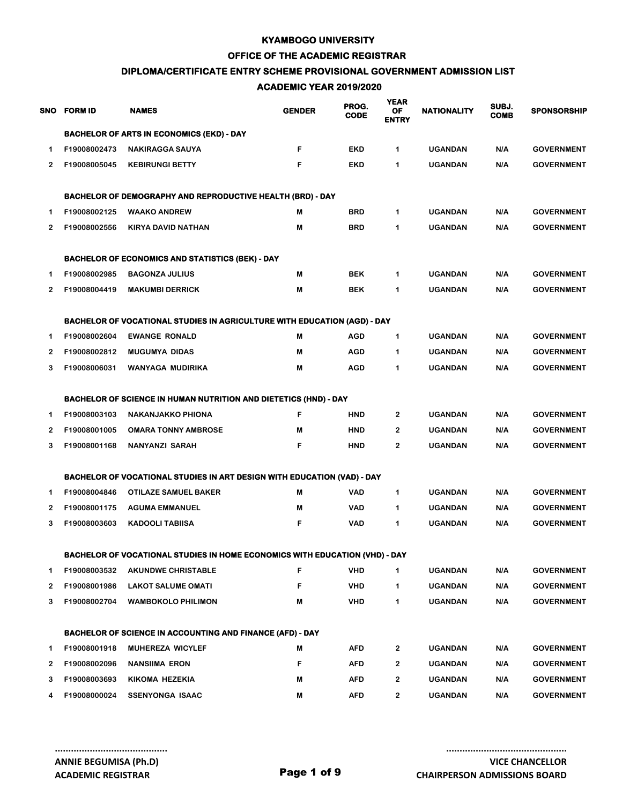### **OFFICE OF THE ACADEMIC REGISTRAR**

### **DIPLOMA/CERTIFICATE ENTRY SCHEME PROVISIONAL GOVERNMENT ADMISSION LIST**

# **ACADEMIC YEAR 2019/2020**

| SNO | <b>FORM ID</b> | <b>NAMES</b>                                                                    | <b>GENDER</b> | PROG.<br><b>CODE</b> | <b>YEAR</b><br>OF<br><b>ENTRY</b> | <b>NATIONALITY</b> | SUBJ.<br><b>COMB</b> | <b>SPONSORSHIP</b> |
|-----|----------------|---------------------------------------------------------------------------------|---------------|----------------------|-----------------------------------|--------------------|----------------------|--------------------|
|     |                | <b>BACHELOR OF ARTS IN ECONOMICS (EKD) - DAY</b>                                |               |                      |                                   |                    |                      |                    |
| 1   | F19008002473   | <b>NAKIRAGGA SAUYA</b>                                                          | F             | <b>EKD</b>           | 1                                 | <b>UGANDAN</b>     | N/A                  | <b>GOVERNMENT</b>  |
| 2   | F19008005045   | <b>KEBIRUNGI BETTY</b>                                                          | F             | <b>EKD</b>           | 1                                 | <b>UGANDAN</b>     | N/A                  | <b>GOVERNMENT</b>  |
|     |                | <b>BACHELOR OF DEMOGRAPHY AND REPRODUCTIVE HEALTH (BRD) - DAY</b>               |               |                      |                                   |                    |                      |                    |
| 1   | F19008002125   | <b>WAAKO ANDREW</b>                                                             | M             | <b>BRD</b>           | 1                                 | <b>UGANDAN</b>     | N/A                  | <b>GOVERNMENT</b>  |
| 2   | F19008002556   | <b>KIRYA DAVID NATHAN</b>                                                       | M             | <b>BRD</b>           | 1                                 | <b>UGANDAN</b>     | N/A                  | <b>GOVERNMENT</b>  |
|     |                | <b>BACHELOR OF ECONOMICS AND STATISTICS (BEK) - DAY</b>                         |               |                      |                                   |                    |                      |                    |
| 1   | F19008002985   | <b>BAGONZA JULIUS</b>                                                           | M             | <b>BEK</b>           | 1                                 | <b>UGANDAN</b>     | N/A                  | <b>GOVERNMENT</b>  |
| 2   | F19008004419   | <b>MAKUMBI DERRICK</b>                                                          | M             | <b>BEK</b>           | 1                                 | <b>UGANDAN</b>     | N/A                  | <b>GOVERNMENT</b>  |
|     |                | <b>BACHELOR OF VOCATIONAL STUDIES IN AGRICULTURE WITH EDUCATION (AGD) - DAY</b> |               |                      |                                   |                    |                      |                    |
| 1   | F19008002604   | <b>EWANGE RONALD</b>                                                            | M             | <b>AGD</b>           | 1                                 | <b>UGANDAN</b>     | N/A                  | <b>GOVERNMENT</b>  |
| 2   | F19008002812   | <b>MUGUMYA DIDAS</b>                                                            | M             | <b>AGD</b>           | 1                                 | <b>UGANDAN</b>     | N/A                  | <b>GOVERNMENT</b>  |
| 3   | F19008006031   | WANYAGA MUDIRIKA                                                                | M             | <b>AGD</b>           | 1                                 | <b>UGANDAN</b>     | N/A                  | <b>GOVERNMENT</b>  |
|     |                | <b>BACHELOR OF SCIENCE IN HUMAN NUTRITION AND DIETETICS (HND) - DAY</b>         |               |                      |                                   |                    |                      |                    |
| 1   | F19008003103   | <b>NAKANJAKKO PHIONA</b>                                                        | F             | <b>HND</b>           | $\mathbf{2}$                      | <b>UGANDAN</b>     | N/A                  | <b>GOVERNMENT</b>  |
| 2   | F19008001005   | <b>OMARA TONNY AMBROSE</b>                                                      | M             | <b>HND</b>           | $\mathbf{2}$                      | <b>UGANDAN</b>     | N/A                  | <b>GOVERNMENT</b>  |
| 3   | F19008001168   | NANYANZI SARAH                                                                  | F             | <b>HND</b>           | $\mathbf{2}$                      | <b>UGANDAN</b>     | N/A                  | <b>GOVERNMENT</b>  |
|     |                | BACHELOR OF VOCATIONAL STUDIES IN ART DESIGN WITH EDUCATION (VAD) - DAY         |               |                      |                                   |                    |                      |                    |
| 1   | F19008004846   | <b>OTILAZE SAMUEL BAKER</b>                                                     | M             | <b>VAD</b>           | 1                                 | <b>UGANDAN</b>     | N/A                  | <b>GOVERNMENT</b>  |
| 2   | F19008001175   | <b>AGUMA EMMANUEL</b>                                                           | M             | <b>VAD</b>           | 1                                 | <b>UGANDAN</b>     | N/A                  | <b>GOVERNMENT</b>  |
| 3   | F19008003603   | <b>KADOOLI TABIISA</b>                                                          | F             | <b>VAD</b>           | 1                                 | <b>UGANDAN</b>     | N/A                  | <b>GOVERNMENT</b>  |
|     |                | BACHELOR OF VOCATIONAL STUDIES IN HOME ECONOMICS WITH EDUCATION (VHD) - DAY     |               |                      |                                   |                    |                      |                    |
| 1   | F19008003532   | <b>AKUNDWE CHRISTABLE</b>                                                       | F             | <b>VHD</b>           | 1                                 | <b>UGANDAN</b>     | N/A                  | <b>GOVERNMENT</b>  |
| 2   | F19008001986   | <b>LAKOT SALUME OMATI</b>                                                       | F             | <b>VHD</b>           | 1                                 | <b>UGANDAN</b>     | N/A                  | <b>GOVERNMENT</b>  |
| 3   | F19008002704   | <b>WAMBOKOLO PHILIMON</b>                                                       | M             | <b>VHD</b>           | 1                                 | <b>UGANDAN</b>     | N/A                  | <b>GOVERNMENT</b>  |
|     |                | <b>BACHELOR OF SCIENCE IN ACCOUNTING AND FINANCE (AFD) - DAY</b>                |               |                      |                                   |                    |                      |                    |
| 1.  | F19008001918   | <b>MUHEREZA WICYLEF</b>                                                         | M             | <b>AFD</b>           | 2                                 | <b>UGANDAN</b>     | N/A                  | <b>GOVERNMENT</b>  |
| 2   | F19008002096   | <b>NANSIIMA ERON</b>                                                            | F             | AFD                  | 2                                 | <b>UGANDAN</b>     | N/A                  | <b>GOVERNMENT</b>  |
| 3   | F19008003693   | KIKOMA HEZEKIA                                                                  | M             | AFD                  | $\mathbf{2}$                      | <b>UGANDAN</b>     | N/A                  | <b>GOVERNMENT</b>  |
| 4   | F19008000024   | <b>SSENYONGA ISAAC</b>                                                          | M             | <b>AFD</b>           | $\mathbf{2}$                      | <b>UGANDAN</b>     | N/A                  | <b>GOVERNMENT</b>  |

**.............................................**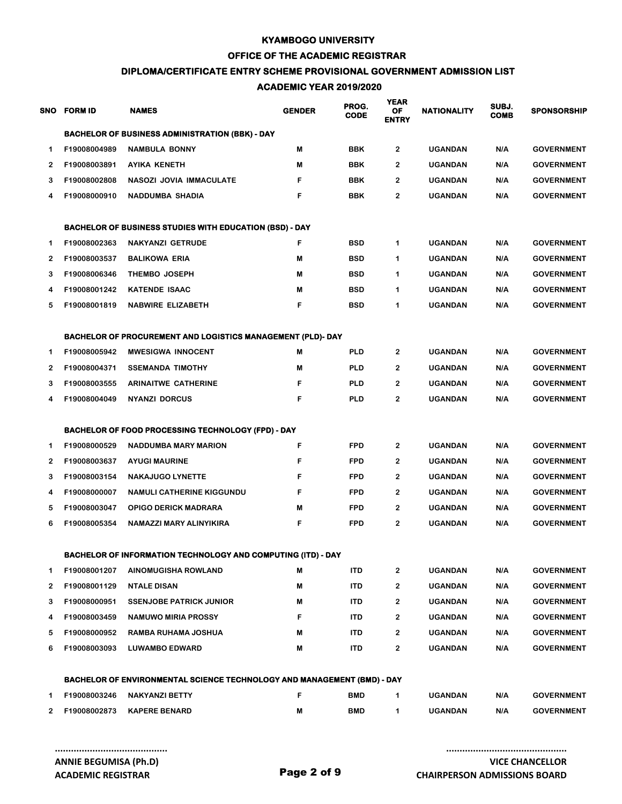### **OFFICE OF THE ACADEMIC REGISTRAR**

# **DIPLOMA/CERTIFICATE ENTRY SCHEME PROVISIONAL GOVERNMENT ADMISSION LIST**

# **ACADEMIC YEAR 2019/2020**

| SNO | <b>FORM ID</b> | <b>NAMES</b>                                                            | <b>GENDER</b> | PROG.<br><b>CODE</b> | <b>YEAR</b><br>OF<br><b>ENTRY</b> | <b>NATIONALITY</b> | SUBJ.<br><b>COMB</b> | <b>SPONSORSHIP</b> |
|-----|----------------|-------------------------------------------------------------------------|---------------|----------------------|-----------------------------------|--------------------|----------------------|--------------------|
|     |                | <b>BACHELOR OF BUSINESS ADMINISTRATION (BBK) - DAY</b>                  |               |                      |                                   |                    |                      |                    |
| 1   | F19008004989   | <b>NAMBULA BONNY</b>                                                    | M             | <b>BBK</b>           | $\mathbf{2}$                      | <b>UGANDAN</b>     | N/A                  | <b>GOVERNMENT</b>  |
| 2   | F19008003891   | <b>AYIKA KENETH</b>                                                     | M             | <b>BBK</b>           | $\overline{2}$                    | <b>UGANDAN</b>     | N/A                  | <b>GOVERNMENT</b>  |
| 3   | F19008002808   | NASOZI JOVIA IMMACULATE                                                 | F             | <b>BBK</b>           | $\mathbf{2}$                      | <b>UGANDAN</b>     | N/A                  | <b>GOVERNMENT</b>  |
| 4   | F19008000910   | NADDUMBA SHADIA                                                         | F             | <b>BBK</b>           | $\overline{2}$                    | <b>UGANDAN</b>     | N/A                  | <b>GOVERNMENT</b>  |
|     |                | <b>BACHELOR OF BUSINESS STUDIES WITH EDUCATION (BSD) - DAY</b>          |               |                      |                                   |                    |                      |                    |
| 1   | F19008002363   | <b>NAKYANZI GETRUDE</b>                                                 | F             | <b>BSD</b>           | 1                                 | <b>UGANDAN</b>     | N/A                  | <b>GOVERNMENT</b>  |
| 2   | F19008003537   | <b>BALIKOWA ERIA</b>                                                    | M             | <b>BSD</b>           | 1                                 | <b>UGANDAN</b>     | N/A                  | <b>GOVERNMENT</b>  |
| 3   | F19008006346   | <b>THEMBO JOSEPH</b>                                                    | м             | <b>BSD</b>           | 1                                 | <b>UGANDAN</b>     | N/A                  | <b>GOVERNMENT</b>  |
| 4   | F19008001242   | <b>KATENDE ISAAC</b>                                                    | M             | <b>BSD</b>           | 1                                 | <b>UGANDAN</b>     | N/A                  | <b>GOVERNMENT</b>  |
| 5   | F19008001819   | <b>NABWIRE ELIZABETH</b>                                                | F             | <b>BSD</b>           | 1                                 | <b>UGANDAN</b>     | N/A                  | <b>GOVERNMENT</b>  |
|     |                | BACHELOR OF PROCUREMENT AND LOGISTICS MANAGEMENT (PLD)- DAY             |               |                      |                                   |                    |                      |                    |
| 1   | F19008005942   | <b>MWESIGWA INNOCENT</b>                                                | M             | <b>PLD</b>           | $\overline{2}$                    | <b>UGANDAN</b>     | N/A                  | <b>GOVERNMENT</b>  |
| 2   | F19008004371   | <b>SSEMANDA TIMOTHY</b>                                                 | M             | <b>PLD</b>           | $\overline{2}$                    | <b>UGANDAN</b>     | N/A                  | <b>GOVERNMENT</b>  |
| 3   | F19008003555   | <b>ARINAITWE CATHERINE</b>                                              | F             | <b>PLD</b>           | $\overline{2}$                    | <b>UGANDAN</b>     | N/A                  | <b>GOVERNMENT</b>  |
| 4   | F19008004049   | <b>NYANZI DORCUS</b>                                                    | F             | <b>PLD</b>           | $\overline{2}$                    | <b>UGANDAN</b>     | N/A                  | <b>GOVERNMENT</b>  |
|     |                | <b>BACHELOR OF FOOD PROCESSING TECHNOLOGY (FPD) - DAY</b>               |               |                      |                                   |                    |                      |                    |
| 1   | F19008000529   | <b>NADDUMBA MARY MARION</b>                                             | F             | <b>FPD</b>           | 2                                 | <b>UGANDAN</b>     | N/A                  | <b>GOVERNMENT</b>  |
| 2   | F19008003637   | <b>AYUGI MAURINE</b>                                                    | F             | <b>FPD</b>           | 2                                 | <b>UGANDAN</b>     | N/A                  | <b>GOVERNMENT</b>  |
| 3   | F19008003154   | <b>NAKAJUGO LYNETTE</b>                                                 | F             | <b>FPD</b>           | $\overline{2}$                    | <b>UGANDAN</b>     | N/A                  | <b>GOVERNMENT</b>  |
| 4   | F19008000007   | <b>NAMULI CATHERINE KIGGUNDU</b>                                        | F             | <b>FPD</b>           | $\mathbf{2}$                      | <b>UGANDAN</b>     | N/A                  | <b>GOVERNMENT</b>  |
| 5   | F19008003047   | <b>OPIGO DERICK MADRARA</b>                                             | M             | <b>FPD</b>           | $\mathbf{2}$                      | <b>UGANDAN</b>     | N/A                  | <b>GOVERNMENT</b>  |
| 6   | F19008005354   | NAMAZZI MARY ALINYIKIRA                                                 | F             | <b>FPD</b>           | 2                                 | <b>UGANDAN</b>     | N/A                  | <b>GOVERNMENT</b>  |
|     |                | <b>BACHELOR OF INFORMATION TECHNOLOGY AND COMPUTING (ITD) - DAY</b>     |               |                      |                                   |                    |                      |                    |
| 1   | F19008001207   | AINOMUGISHA ROWLAND                                                     | м             | ITD                  | 2                                 | <b>UGANDAN</b>     | N/A                  | <b>GOVERNMENT</b>  |
| 2   | F19008001129   | <b>NTALE DISAN</b>                                                      | M             | ITD                  | $\mathbf{2}$                      | <b>UGANDAN</b>     | N/A                  | <b>GOVERNMENT</b>  |
| 3   | F19008000951   | <b>SSENJOBE PATRICK JUNIOR</b>                                          | M             | ITD                  | 2                                 | <b>UGANDAN</b>     | N/A                  | <b>GOVERNMENT</b>  |
| 4   | F19008003459   | <b>NAMUWO MIRIA PROSSY</b>                                              | F             | ITD                  | $\mathbf{2}$                      | <b>UGANDAN</b>     | N/A                  | <b>GOVERNMENT</b>  |
| 5   | F19008000952   | <b>RAMBA RUHAMA JOSHUA</b>                                              | M             | ITD                  | $\mathbf{2}$                      | <b>UGANDAN</b>     | N/A                  | <b>GOVERNMENT</b>  |
| 6   | F19008003093   | <b>LUWAMBO EDWARD</b>                                                   | M             | <b>ITD</b>           | $\mathbf{2}$                      | <b>UGANDAN</b>     | N/A                  | <b>GOVERNMENT</b>  |
|     |                | BACHELOR OF ENVIRONMENTAL SCIENCE TECHNOLOGY AND MANAGEMENT (BMD) - DAY |               |                      |                                   |                    |                      |                    |
| 1.  | F19008003246   | <b>NAKYANZI BETTY</b>                                                   | F             | <b>BMD</b>           | 1                                 | <b>UGANDAN</b>     | N/A                  | <b>GOVERNMENT</b>  |
| 2   | F19008002873   | <b>KAPERE BENARD</b>                                                    | M             | <b>BMD</b>           | 1                                 | <b>UGANDAN</b>     | N/A                  | <b>GOVERNMENT</b>  |

**.............................................**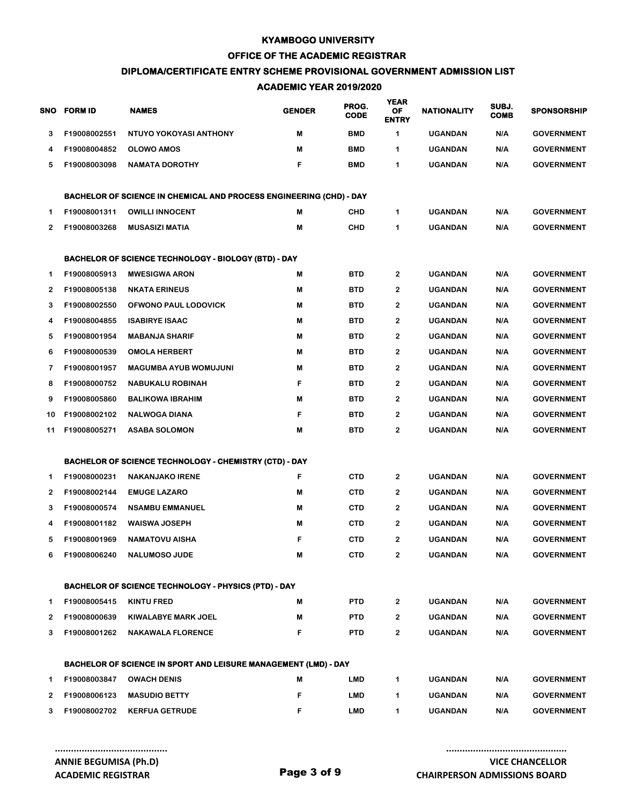### **OFFICE OF THE ACADEMIC REGISTRAR**

### **DIPLOMA/CERTIFICATE ENTRY SCHEME PROVISIONAL GOVERNMENT ADMISSION LIST**

# **ACADEMIC YEAR 2019/2020**

| SNO. | <b>FORM ID</b> | <b>NAMES</b>                                                               | <b>GENDER</b> | PROG.<br><b>CODE</b> | <b>YEAR</b><br>OF<br><b>ENTRY</b> | NATIONALITY    | SUBJ.<br><b>COMB</b> | <b>SPONSORSHIP</b> |
|------|----------------|----------------------------------------------------------------------------|---------------|----------------------|-----------------------------------|----------------|----------------------|--------------------|
| 3    | F19008002551   | NTUYO YOKOYASI ANTHONY                                                     | M             | <b>BMD</b>           | 1                                 | UGANDAN        | N/A                  | <b>GOVERNMENT</b>  |
| 4    | F19008004852   | <b>OLOWO AMOS</b>                                                          | M             | <b>BMD</b>           | 1                                 | <b>UGANDAN</b> | N/A                  | <b>GOVERNMENT</b>  |
| 5    | F19008003098   | <b>NAMATA DOROTHY</b>                                                      | F             | <b>BMD</b>           | 1                                 | <b>UGANDAN</b> | N/A                  | <b>GOVERNMENT</b>  |
|      |                | <b>BACHELOR OF SCIENCE IN CHEMICAL AND PROCESS ENGINEERING (CHD) - DAY</b> |               |                      |                                   |                |                      |                    |
| 1    | F19008001311   | <b>OWILLI INNOCENT</b>                                                     | M             | CHD                  | 1                                 | <b>UGANDAN</b> | N/A                  | <b>GOVERNMENT</b>  |
| 2    | F19008003268   | <b>MUSASIZI MATIA</b>                                                      | M             | <b>CHD</b>           | 1                                 | <b>UGANDAN</b> | N/A                  | <b>GOVERNMENT</b>  |
|      |                | <b>BACHELOR OF SCIENCE TECHNOLOGY - BIOLOGY (BTD) - DAY</b>                |               |                      |                                   |                |                      |                    |
| 1    | F19008005913   | <b>MWESIGWA ARON</b>                                                       | M             | BTD                  | $\mathbf{2}$                      | <b>UGANDAN</b> | N/A                  | <b>GOVERNMENT</b>  |
| 2    | F19008005138   | <b>NKATA ERINEUS</b>                                                       | M             | BTD                  | $\mathbf{2}$                      | <b>UGANDAN</b> | N/A                  | <b>GOVERNMENT</b>  |
| 3    | F19008002550   | OFWONO PAUL LODOVICK                                                       | M             | <b>BTD</b>           | $\mathbf{2}$                      | <b>UGANDAN</b> | N/A                  | <b>GOVERNMENT</b>  |
| 4    | F19008004855   | <b>ISABIRYE ISAAC</b>                                                      | M             | BTD                  | $\mathbf{2}$                      | UGANDAN        | N/A                  | <b>GOVERNMENT</b>  |
| 5    | F19008001954   | <b>MABANJA SHARIF</b>                                                      | M             | BTD                  | $\mathbf{2}$                      | <b>UGANDAN</b> | N/A                  | <b>GOVERNMENT</b>  |
| 6    | F19008000539   | <b>OMOLA HERBERT</b>                                                       | M             | BTD                  | $\mathbf{2}$                      | <b>UGANDAN</b> | N/A                  | <b>GOVERNMENT</b>  |
| 7    | F19008001957   | <b>MAGUMBA AYUB WOMUJUNI</b>                                               | M             | BTD                  | $\mathbf{2}$                      | <b>UGANDAN</b> | N/A                  | <b>GOVERNMENT</b>  |
| 8    | F19008000752   | <b>NABUKALU ROBINAH</b>                                                    | F             | BTD                  | $\mathbf{2}$                      | UGANDAN        | N/A                  | <b>GOVERNMENT</b>  |
| 9    | F19008005860   | <b>BALIKOWA IBRAHIM</b>                                                    | M             | BTD                  | $\mathbf{2}$                      | <b>UGANDAN</b> | N/A                  | <b>GOVERNMENT</b>  |
| 10   | F19008002102   | <b>NALWOGA DIANA</b>                                                       | F             | BTD                  | $\mathbf{2}$                      | <b>UGANDAN</b> | N/A                  | <b>GOVERNMENT</b>  |
| 11   | F19008005271   | <b>ASABA SOLOMON</b>                                                       | M             | BTD                  | 2                                 | UGANDAN        | N/A                  | <b>GOVERNMENT</b>  |
|      |                | <b>BACHELOR OF SCIENCE TECHNOLOGY - CHEMISTRY (CTD) - DAY</b>              |               |                      |                                   |                |                      |                    |
| 1.   | F19008000231   | <b>NAKANJAKO IRENE</b>                                                     | F             | <b>CTD</b>           | $\mathbf{2}$                      | <b>UGANDAN</b> | N/A                  | <b>GOVERNMENT</b>  |
| 2    | F19008002144   | <b>EMUGE LAZARO</b>                                                        | M             | CTD                  | $\mathbf{2}$                      | UGANDAN        | N/A                  | <b>GOVERNMENT</b>  |
| 3    | F19008000574   | <b>NSAMBU EMMANUEL</b>                                                     | M             | <b>CTD</b>           | $\mathbf{2}$                      | <b>UGANDAN</b> | N/A                  | <b>GOVERNMENT</b>  |
| 4    | F19008001182   | <b>WAISWA JOSEPH</b>                                                       | M             | <b>CTD</b>           | $\mathbf{2}$                      | <b>UGANDAN</b> | N/A                  | <b>GOVERNMENT</b>  |
| 5    | F19008001969   | <b>NAMATOVU AISHA</b>                                                      | F             | <b>CTD</b>           | $\mathbf{2}$                      | <b>UGANDAN</b> | N/A                  | <b>GOVERNMENT</b>  |
| 6    | F19008006240   | <b>NALUMOSO JUDE</b>                                                       | M             | <b>CTD</b>           | $\mathbf{2}$                      | <b>UGANDAN</b> | N/A                  | <b>GOVERNMENT</b>  |
|      |                | <b>BACHELOR OF SCIENCE TECHNOLOGY - PHYSICS (PTD) - DAY</b>                |               |                      |                                   |                |                      |                    |
| 1    | F19008005415   | <b>KINTU FRED</b>                                                          | M             | <b>PTD</b>           | $\mathbf{2}$                      | <b>UGANDAN</b> | N/A                  | <b>GOVERNMENT</b>  |
| 2    | F19008000639   | KIWALABYE MARK JOEL                                                        | M             | <b>PTD</b>           | $\overline{2}$                    | <b>UGANDAN</b> | N/A                  | <b>GOVERNMENT</b>  |
| 3    | F19008001262   | <b>NAKAWALA FLORENCE</b>                                                   | F             | <b>PTD</b>           | $\mathbf{2}$                      | UGANDAN        | N/A                  | <b>GOVERNMENT</b>  |
|      |                | <b>BACHELOR OF SCIENCE IN SPORT AND LEISURE MANAGEMENT (LMD) - DAY</b>     |               |                      |                                   |                |                      |                    |
| 1.   | F19008003847   | <b>OWACH DENIS</b>                                                         | M             | <b>LMD</b>           | 1                                 | <b>UGANDAN</b> | N/A                  | <b>GOVERNMENT</b>  |
| 2    | F19008006123   | <b>MASUDIO BETTY</b>                                                       | F             | <b>LMD</b>           | 1                                 | <b>UGANDAN</b> | N/A                  | <b>GOVERNMENT</b>  |
| 3    | F19008002702   | <b>KERFUA GETRUDE</b>                                                      | F             | LMD                  | 1                                 | <b>UGANDAN</b> | N/A                  | <b>GOVERNMENT</b>  |
|      |                |                                                                            |               |                      |                                   |                |                      |                    |

**............................................. VICE CHANCELLOR**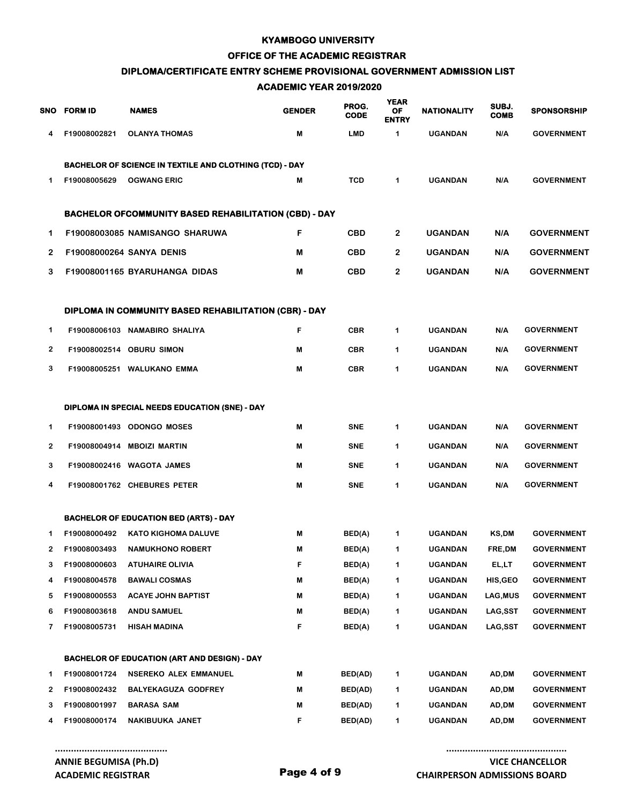### **OFFICE OF THE ACADEMIC REGISTRAR**

### **DIPLOMA/CERTIFICATE ENTRY SCHEME PROVISIONAL GOVERNMENT ADMISSION LIST**

# **ACADEMIC YEAR 2019/2020**

|   | SNO FORMID   | <b>NAMES</b>                                                   | <b>GENDER</b> | PROG.<br><b>CODE</b> | <b>YEAR</b><br>OF<br><b>ENTRY</b> | <b>NATIONALITY</b> | SUBJ.<br><b>COMB</b> | <b>SPONSORSHIP</b> |
|---|--------------|----------------------------------------------------------------|---------------|----------------------|-----------------------------------|--------------------|----------------------|--------------------|
| 4 | F19008002821 | <b>OLANYA THOMAS</b>                                           | M             | <b>LMD</b>           | 1                                 | <b>UGANDAN</b>     | N/A                  | <b>GOVERNMENT</b>  |
|   |              |                                                                |               |                      |                                   |                    |                      |                    |
|   |              | <b>BACHELOR OF SCIENCE IN TEXTILE AND CLOTHING (TCD) - DAY</b> |               |                      |                                   |                    |                      |                    |
| 1 | F19008005629 | <b>OGWANG ERIC</b>                                             | M             | <b>TCD</b>           | 1                                 | <b>UGANDAN</b>     | N/A                  | <b>GOVERNMENT</b>  |
|   |              | <b>BACHELOR OFCOMMUNITY BASED REHABILITATION (CBD) - DAY</b>   |               |                      |                                   |                    |                      |                    |
| 1 |              | F19008003085 NAMISANGO SHARUWA                                 | F             | <b>CBD</b>           | $\overline{2}$                    | <b>UGANDAN</b>     | N/A                  | <b>GOVERNMENT</b>  |
| 2 |              | F19008000264 SANYA DENIS                                       | М             | <b>CBD</b>           | $\mathbf{2}$                      | <b>UGANDAN</b>     | N/A                  | <b>GOVERNMENT</b>  |
| 3 |              | F19008001165 BYARUHANGA DIDAS                                  | M             | <b>CBD</b>           | $\mathbf{2}$                      | <b>UGANDAN</b>     | N/A                  | <b>GOVERNMENT</b>  |
|   |              |                                                                |               |                      |                                   |                    |                      |                    |
|   |              | DIPLOMA IN COMMUNITY BASED REHABILITATION (CBR) - DAY          |               |                      |                                   |                    |                      |                    |
| 1 |              | F19008006103 NAMABIRO SHALIYA                                  | F             | <b>CBR</b>           | 1                                 | <b>UGANDAN</b>     | N/A                  | <b>GOVERNMENT</b>  |
| 2 |              | F19008002514 OBURU SIMON                                       | M             | <b>CBR</b>           | 1                                 | <b>UGANDAN</b>     | N/A                  | <b>GOVERNMENT</b>  |
| 3 |              | F19008005251 WALUKANO EMMA                                     | M             | <b>CBR</b>           | 1                                 | <b>UGANDAN</b>     | N/A                  | <b>GOVERNMENT</b>  |
|   |              |                                                                |               |                      |                                   |                    |                      |                    |
|   |              | DIPLOMA IN SPECIAL NEEDS EDUCATION (SNE) - DAY                 |               |                      |                                   |                    |                      |                    |
| 1 |              | F19008001493 ODONGO MOSES                                      | M             | <b>SNE</b>           | 1                                 | <b>UGANDAN</b>     | N/A                  | <b>GOVERNMENT</b>  |
| 2 |              | F19008004914 MBOIZI MARTIN                                     | M             | <b>SNE</b>           | 1                                 | <b>UGANDAN</b>     | N/A                  | <b>GOVERNMENT</b>  |
| 3 |              | F19008002416 WAGOTA JAMES                                      | M             | <b>SNE</b>           | 1                                 | <b>UGANDAN</b>     | N/A                  | <b>GOVERNMENT</b>  |
| 4 |              | F19008001762 CHEBURES PETER                                    | M             | <b>SNE</b>           | 1                                 | <b>UGANDAN</b>     | N/A                  | <b>GOVERNMENT</b>  |
|   |              | <b>BACHELOR OF EDUCATION BED (ARTS) - DAY</b>                  |               |                      |                                   |                    |                      |                    |
| 1 | F19008000492 | <b>KATO KIGHOMA DALUVE</b>                                     | M             | BED(A)               | 1                                 | <b>UGANDAN</b>     | KS,DM                | <b>GOVERNMENT</b>  |
|   |              | 2 F19008003493 NAMUKHONO ROBERT                                | M             | BED(A)               | $\mathbf 1$                       | <b>UGANDAN</b>     | FRE, DM              | <b>GOVERNMENT</b>  |
| 3 | F19008000603 | <b>ATUHAIRE OLIVIA</b>                                         | F             | BED(A)               | 1                                 | <b>UGANDAN</b>     | EL,LT                | <b>GOVERNMENT</b>  |
| 4 | F19008004578 | <b>BAWALI COSMAS</b>                                           | M             | BED(A)               | 1                                 | <b>UGANDAN</b>     | HIS, GEO             | <b>GOVERNMENT</b>  |
| 5 | F19008000553 | <b>ACAYE JOHN BAPTIST</b>                                      | M             | BED(A)               | 1                                 | <b>UGANDAN</b>     | LAG, MUS             | <b>GOVERNMENT</b>  |
| 6 | F19008003618 | <b>ANDU SAMUEL</b>                                             | M             | BED(A)               | 1                                 | <b>UGANDAN</b>     | LAG,SST              | <b>GOVERNMENT</b>  |
| 7 | F19008005731 | <b>HISAH MADINA</b>                                            | F             | BED(A)               | 1                                 | <b>UGANDAN</b>     | LAG, SST             | <b>GOVERNMENT</b>  |
|   |              | <b>BACHELOR OF EDUCATION (ART AND DESIGN) - DAY</b>            |               |                      |                                   |                    |                      |                    |
| 1 | F19008001724 | <b>NSEREKO ALEX EMMANUEL</b>                                   | M             | BED(AD)              | 1                                 | <b>UGANDAN</b>     | AD,DM                | <b>GOVERNMENT</b>  |
| 2 | F19008002432 | <b>BALYEKAGUZA GODFREY</b>                                     | M             | BED(AD)              | 1                                 | <b>UGANDAN</b>     | AD,DM                | <b>GOVERNMENT</b>  |
| 3 | F19008001997 | <b>BARASA SAM</b>                                              | M             | BED(AD)              | 1                                 | <b>UGANDAN</b>     | AD,DM                | <b>GOVERNMENT</b>  |
| 4 | F19008000174 | NAKIBUUKA JANET                                                | F             | BED(AD)              | 1                                 | <b>UGANDAN</b>     | AD,DM                | <b>GOVERNMENT</b>  |
|   |              |                                                                |               |                      |                                   |                    |                      |                    |

**CHAIRPERSON ADMISSIONS BOARD**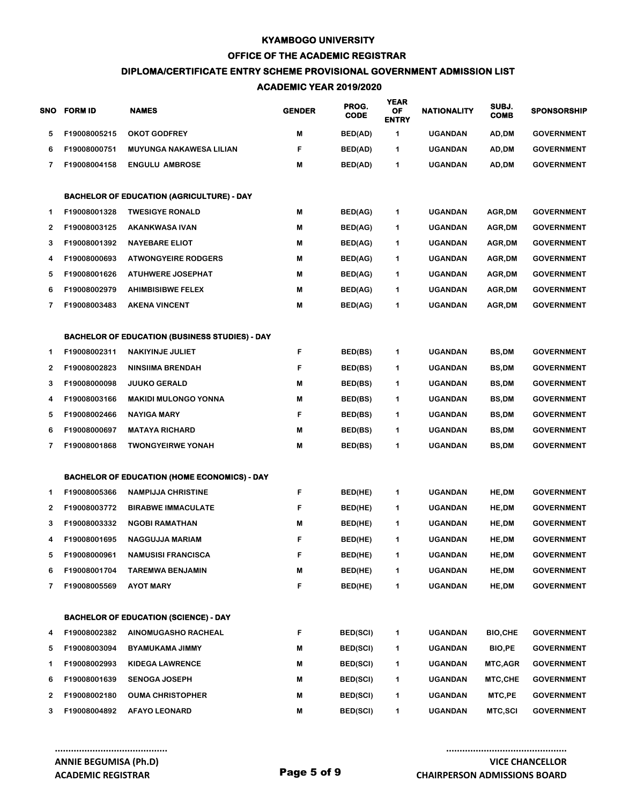### **OFFICE OF THE ACADEMIC REGISTRAR**

# **DIPLOMA/CERTIFICATE ENTRY SCHEME PROVISIONAL GOVERNMENT ADMISSION LIST**

# **ACADEMIC YEAR 2019/2020**

| SNO. | <b>FORM ID</b> | <b>NAMES</b>                                          | <b>GENDER</b> | PROG.<br><b>CODE</b> | <b>YEAR</b><br>OF<br><b>ENTRY</b> | <b>NATIONALITY</b> | SUBJ.<br><b>COMB</b> | SPONSORSHIP       |
|------|----------------|-------------------------------------------------------|---------------|----------------------|-----------------------------------|--------------------|----------------------|-------------------|
| 5    | F19008005215   | <b>OKOT GODFREY</b>                                   | M             | BED(AD)              | 1                                 | <b>UGANDAN</b>     | AD,DM                | <b>GOVERNMENT</b> |
| 6    | F19008000751   | <b>MUYUNGA NAKAWESA LILIAN</b>                        | F             | BED(AD)              | 1                                 | <b>UGANDAN</b>     | AD,DM                | <b>GOVERNMENT</b> |
| 7    | F19008004158   | <b>ENGULU AMBROSE</b>                                 | M             | BED(AD)              | 1                                 | <b>UGANDAN</b>     | AD,DM                | <b>GOVERNMENT</b> |
|      |                | <b>BACHELOR OF EDUCATION (AGRICULTURE) - DAY</b>      |               |                      |                                   |                    |                      |                   |
| 1    | F19008001328   | <b>TWESIGYE RONALD</b>                                | M             | BED(AG)              | 1                                 | <b>UGANDAN</b>     | AGR,DM               | <b>GOVERNMENT</b> |
| 2    | F19008003125   | AKANKWASA IVAN                                        | M             | BED(AG)              | 1                                 | <b>UGANDAN</b>     | AGR,DM               | <b>GOVERNMENT</b> |
| 3    | F19008001392   | <b>NAYEBARE ELIOT</b>                                 | M             | BED(AG)              | 1                                 | UGANDAN            | AGR,DM               | <b>GOVERNMENT</b> |
| 4    | F19008000693   | <b>ATWONGYEIRE RODGERS</b>                            | M             | BED(AG)              | 1                                 | UGANDAN            | AGR,DM               | <b>GOVERNMENT</b> |
| 5    | F19008001626   | <b>ATUHWERE JOSEPHAT</b>                              | M             | BED(AG)              | 1                                 | <b>UGANDAN</b>     | AGR,DM               | <b>GOVERNMENT</b> |
| 6    | F19008002979   | <b>AHIMBISIBWE FELEX</b>                              | M             | BED(AG)              | 1                                 | <b>UGANDAN</b>     | AGR,DM               | <b>GOVERNMENT</b> |
| 7    | F19008003483   | <b>AKENA VINCENT</b>                                  | M             | BED(AG)              | 1                                 | UGANDAN            | AGR,DM               | <b>GOVERNMENT</b> |
|      |                | <b>BACHELOR OF EDUCATION (BUSINESS STUDIES) - DAY</b> |               |                      |                                   |                    |                      |                   |
| 1    | F19008002311   | <b>NAKIYINJE JULIET</b>                               | F             | BED(BS)              | 1                                 | <b>UGANDAN</b>     | <b>BS,DM</b>         | <b>GOVERNMENT</b> |
| 2    | F19008002823   | <b>NINSIIMA BRENDAH</b>                               | F             | BED(BS)              | 1                                 | UGANDAN            | <b>BS,DM</b>         | <b>GOVERNMENT</b> |
| 3    | F19008000098   | <b>JUUKO GERALD</b>                                   | M             | BED(BS)              | 1                                 | UGANDAN            | <b>BS,DM</b>         | <b>GOVERNMENT</b> |
| 4    | F19008003166   | <b>MAKIDI MULONGO YONNA</b>                           | M             | BED(BS)              | 1                                 | <b>UGANDAN</b>     | <b>BS,DM</b>         | <b>GOVERNMENT</b> |
| 5    | F19008002466   | <b>NAYIGA MARY</b>                                    | F             | BED(BS)              | 1                                 | <b>UGANDAN</b>     | <b>BS,DM</b>         | <b>GOVERNMENT</b> |
| 6    | F19008000697   | <b>MATAYA RICHARD</b>                                 | M             | <b>BED(BS)</b>       | 1                                 | UGANDAN            | <b>BS,DM</b>         | <b>GOVERNMENT</b> |
| 7    | F19008001868   | <b>TWONGYEIRWE YONAH</b>                              | M             | BED(BS)              | 1                                 | <b>UGANDAN</b>     | <b>BS,DM</b>         | <b>GOVERNMENT</b> |
|      |                | <b>BACHELOR OF EDUCATION (HOME ECONOMICS) - DAY</b>   |               |                      |                                   |                    |                      |                   |
| 1.   | F19008005366   | <b>NAMPIJJA CHRISTINE</b>                             | F             | BED(HE)              | 1                                 | <b>UGANDAN</b>     | HE,DM                | <b>GOVERNMENT</b> |
| 2    | F19008003772   | <b>BIRABWE IMMACULATE</b>                             | F             | BED(HE)              | 1                                 | <b>UGANDAN</b>     | HE,DM                | <b>GOVERNMENT</b> |
| 3    | F19008003332   | <b>NGOBI RAMATHAN</b>                                 | M             | BED(HE)              | 1                                 | <b>UGANDAN</b>     | HE,DM                | <b>GOVERNMENT</b> |
| 4    | F19008001695   | <b>NAGGUJJA MARIAM</b>                                | F             | BED(HE)              | 1                                 | <b>UGANDAN</b>     | HE,DM                | <b>GOVERNMENT</b> |
| 5    | F19008000961   | <b>NAMUSISI FRANCISCA</b>                             | F             | BED(HE)              | 1                                 | <b>UGANDAN</b>     | HE,DM                | <b>GOVERNMENT</b> |
| 6    | F19008001704   | <b>TAREMWA BENJAMIN</b>                               | M             | BED(HE)              | 1                                 | UGANDAN            | HE,DM                | <b>GOVERNMENT</b> |
| 7    | F19008005569   | <b>AYOT MARY</b>                                      | F             | BED(HE)              | 1                                 | <b>UGANDAN</b>     | HE,DM                | <b>GOVERNMENT</b> |
|      |                | <b>BACHELOR OF EDUCATION (SCIENCE) - DAY</b>          |               |                      |                                   |                    |                      |                   |
| 4    | F19008002382   | AINOMUGASHO RACHEAL                                   | F             | <b>BED(SCI)</b>      | 1                                 | UGANDAN            | <b>BIO,CHE</b>       | <b>GOVERNMENT</b> |
| 5    | F19008003094   | BYAMUKAMA JIMMY                                       | M             | <b>BED(SCI)</b>      | 1                                 | <b>UGANDAN</b>     | <b>BIO,PE</b>        | <b>GOVERNMENT</b> |
| 1    | F19008002993   | <b>KIDEGA LAWRENCE</b>                                | M             | <b>BED(SCI)</b>      | 1                                 | <b>UGANDAN</b>     | <b>MTC, AGR</b>      | <b>GOVERNMENT</b> |
| 6    | F19008001639   | <b>SENOGA JOSEPH</b>                                  | M             | <b>BED(SCI)</b>      | 1                                 | <b>UGANDAN</b>     | MTC,CHE              | <b>GOVERNMENT</b> |
| 2    | F19008002180   | <b>OUMA CHRISTOPHER</b>                               | M             | <b>BED(SCI)</b>      | 1                                 | <b>UGANDAN</b>     | MTC,PE               | <b>GOVERNMENT</b> |
| 3    | F19008004892   | <b>AFAYO LEONARD</b>                                  | M             | <b>BED(SCI)</b>      | 1                                 | UGANDAN            | <b>MTC,SCI</b>       | <b>GOVERNMENT</b> |

**.............................................**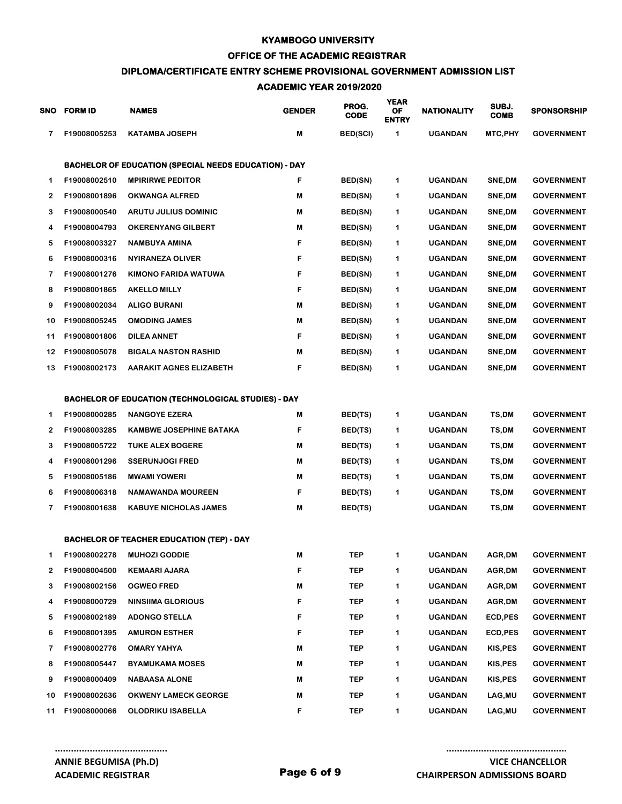# **OFFICE OF THE ACADEMIC REGISTRAR**

# **DIPLOMA/CERTIFICATE ENTRY SCHEME PROVISIONAL GOVERNMENT ADMISSION LIST**

# **ACADEMIC YEAR 2019/2020**

| SNO          | <b>FORM ID</b> | <b>NAMES</b>                                                 | <b>GENDER</b> | PROG.<br><b>CODE</b> | <b>YEAR</b><br>OF<br><b>ENTRY</b> | <b>NATIONALITY</b> | SUBJ.<br><b>COMB</b> | <b>SPONSORSHIP</b> |
|--------------|----------------|--------------------------------------------------------------|---------------|----------------------|-----------------------------------|--------------------|----------------------|--------------------|
| 7            | F19008005253   | <b>KATAMBA JOSEPH</b>                                        | M             | <b>BED(SCI)</b>      | 1                                 | <b>UGANDAN</b>     | <b>MTC,PHY</b>       | <b>GOVERNMENT</b>  |
|              |                | <b>BACHELOR OF EDUCATION (SPECIAL NEEDS EDUCATION) - DAY</b> |               |                      |                                   |                    |                      |                    |
| 1            | F19008002510   | <b>MPIRIRWE PEDITOR</b>                                      | F             | <b>BED(SN)</b>       | 1                                 | <b>UGANDAN</b>     | SNE, DM              | <b>GOVERNMENT</b>  |
| 2            | F19008001896   | <b>OKWANGA ALFRED</b>                                        | M             | <b>BED(SN)</b>       | 1                                 | <b>UGANDAN</b>     | <b>SNE,DM</b>        | <b>GOVERNMENT</b>  |
| 3            | F19008000540   | <b>ARUTU JULIUS DOMINIC</b>                                  | M             | <b>BED(SN)</b>       | 1                                 | UGANDAN            | <b>SNE,DM</b>        | <b>GOVERNMENT</b>  |
| 4            | F19008004793   | <b>OKERENYANG GILBERT</b>                                    | M             | <b>BED(SN)</b>       | 1                                 | <b>UGANDAN</b>     | SNE,DM               | <b>GOVERNMENT</b>  |
| 5            | F19008003327   | <b>NAMBUYA AMINA</b>                                         | F             | <b>BED(SN)</b>       | 1                                 | UGANDAN            | <b>SNE,DM</b>        | <b>GOVERNMENT</b>  |
| 6            | F19008000316   | NYIRANEZA OLIVER                                             | F             | <b>BED(SN)</b>       | 1                                 | <b>UGANDAN</b>     | SNE,DM               | <b>GOVERNMENT</b>  |
| 7            | F19008001276   | KIMONO FARIDA WATUWA                                         | F             | <b>BED(SN)</b>       | 1                                 | UGANDAN            | <b>SNE,DM</b>        | <b>GOVERNMENT</b>  |
| 8            | F19008001865   | <b>AKELLO MILLY</b>                                          | F             | <b>BED(SN)</b>       | 1                                 | UGANDAN            | SNE,DM               | <b>GOVERNMENT</b>  |
| 9            | F19008002034   | <b>ALIGO BURANI</b>                                          | M             | <b>BED(SN)</b>       | 1                                 | UGANDAN            | <b>SNE,DM</b>        | <b>GOVERNMENT</b>  |
| 10           | F19008005245   | <b>OMODING JAMES</b>                                         | M             | <b>BED(SN)</b>       | 1                                 | <b>UGANDAN</b>     | SNE,DM               | <b>GOVERNMENT</b>  |
| 11           | F19008001806   | <b>DILEA ANNET</b>                                           | F             | <b>BED(SN)</b>       | 1                                 | UGANDAN            | <b>SNE,DM</b>        | <b>GOVERNMENT</b>  |
| 12           | F19008005078   | <b>BIGALA NASTON RASHID</b>                                  | M             | <b>BED(SN)</b>       | 1                                 | <b>UGANDAN</b>     | <b>SNE,DM</b>        | <b>GOVERNMENT</b>  |
| 13           | F19008002173   | <b>AARAKIT AGNES ELIZABETH</b>                               | F             | <b>BED(SN)</b>       | 1                                 | <b>UGANDAN</b>     | <b>SNE,DM</b>        | <b>GOVERNMENT</b>  |
|              |                | <b>BACHELOR OF EDUCATION (TECHNOLOGICAL STUDIES) - DAY</b>   |               |                      |                                   |                    |                      |                    |
| 1            | F19008000285   | <b>NANGOYE EZERA</b>                                         | M             | <b>BED(TS)</b>       | 1                                 | UGANDAN            | TS,DM                | <b>GOVERNMENT</b>  |
| $\mathbf{2}$ | F19008003285   | <b>KAMBWE JOSEPHINE BATAKA</b>                               | F             | <b>BED(TS)</b>       | 1                                 | UGANDAN            | TS,DM                | <b>GOVERNMENT</b>  |
| 3            | F19008005722   | <b>TUKE ALEX BOGERE</b>                                      | M             | <b>BED(TS)</b>       | 1                                 | UGANDAN            | TS,DM                | <b>GOVERNMENT</b>  |
| 4            | F19008001296   | <b>SSERUNJOGI FRED</b>                                       | M             | <b>BED(TS)</b>       | 1                                 | UGANDAN            | TS,DM                | <b>GOVERNMENT</b>  |
| 5            | F19008005186   | <b>MWAMI YOWERI</b>                                          | M             | <b>BED(TS)</b>       | 1                                 | <b>UGANDAN</b>     | TS,DM                | <b>GOVERNMENT</b>  |
| 6            | F19008006318   | <b>NAMAWANDA MOUREEN</b>                                     | F             | <b>BED(TS)</b>       | 1                                 | UGANDAN            | TS,DM                | <b>GOVERNMENT</b>  |
| 7            | F19008001638   | <b>KABUYE NICHOLAS JAMES</b>                                 | M             | <b>BED(TS)</b>       |                                   | UGANDAN            | TS,DM                | <b>GOVERNMENT</b>  |
|              |                | <b>BACHELOR OF TEACHER EDUCATION (TEP) - DAY</b>             |               |                      |                                   |                    |                      |                    |
| 1            | F19008002278   | <b>MUHOZI GODDIE</b>                                         | M             | TEP                  | 1                                 | <b>UGANDAN</b>     | AGR,DM               | <b>GOVERNMENT</b>  |
| 2            | F19008004500   | <b>KEMAARI AJARA</b>                                         | F             | <b>TEP</b>           | 1                                 | <b>UGANDAN</b>     | AGR,DM               | <b>GOVERNMENT</b>  |
| з            | F19008002156   | <b>OGWEO FRED</b>                                            | M             | TEP                  | 1                                 | UGANDAN            | AGR,DM               | <b>GOVERNMENT</b>  |
| 4            | F19008000729   | <b>NINSIIMA GLORIOUS</b>                                     | F             | TEP                  | 1                                 | UGANDAN            | AGR,DM               | <b>GOVERNMENT</b>  |
| 5            | F19008002189   | <b>ADONGO STELLA</b>                                         | F             | TEP                  | 1                                 | <b>UGANDAN</b>     | ECD, PES             | <b>GOVERNMENT</b>  |
| 6            | F19008001395   | <b>AMURON ESTHER</b>                                         | F             | TEP                  | 1                                 | UGANDAN            | ECD, PES             | <b>GOVERNMENT</b>  |
| 7            | F19008002776   | <b>OMARY YAHYA</b>                                           | M             | TEP                  | 1                                 | <b>UGANDAN</b>     | KIS, PES             | <b>GOVERNMENT</b>  |
| 8            | F19008005447   | <b>BYAMUKAMA MOSES</b>                                       | M             | TEP                  | 1                                 | UGANDAN            | KIS, PES             | <b>GOVERNMENT</b>  |
| 9            | F19008000409   | <b>NABAASA ALONE</b>                                         | M             | TEP                  | 1                                 | <b>UGANDAN</b>     | KIS, PES             | <b>GOVERNMENT</b>  |
| 10           | F19008002636   | <b>OKWENY LAMECK GEORGE</b>                                  | M             | TEP                  | 1                                 | UGANDAN            | LAG,MU               | <b>GOVERNMENT</b>  |
| 11           | F19008000066   | OLODRIKU ISABELLA                                            | F             | <b>TEP</b>           | 1                                 | <b>UGANDAN</b>     | <b>LAG,MU</b>        | <b>GOVERNMENT</b>  |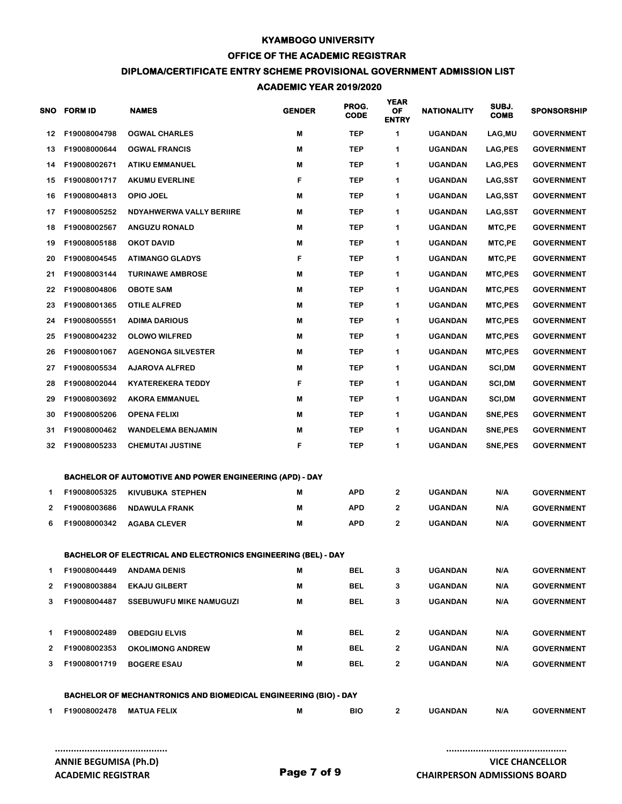### **OFFICE OF THE ACADEMIC REGISTRAR**

# **DIPLOMA/CERTIFICATE ENTRY SCHEME PROVISIONAL GOVERNMENT ADMISSION LIST**

# **ACADEMIC YEAR 2019/2020**

| SNO | <b>FORM ID</b> | <b>NAMES</b>                                                            | <b>GENDER</b> | PROG.<br><b>CODE</b> | <b>YEAR</b><br>OF<br><b>ENTRY</b> | <b>NATIONALITY</b> | SUBJ.<br><b>COMB</b> | <b>SPONSORSHIP</b> |
|-----|----------------|-------------------------------------------------------------------------|---------------|----------------------|-----------------------------------|--------------------|----------------------|--------------------|
| 12  | F19008004798   | <b>OGWAL CHARLES</b>                                                    | M             | <b>TEP</b>           | 1                                 | <b>UGANDAN</b>     | LAG,MU               | <b>GOVERNMENT</b>  |
| 13  | F19008000644   | <b>OGWAL FRANCIS</b>                                                    | M             | <b>TEP</b>           | 1                                 | <b>UGANDAN</b>     | LAG, PES             | <b>GOVERNMENT</b>  |
| 14  | F19008002671   | <b>ATIKU EMMANUEL</b>                                                   | M             | <b>TEP</b>           | 1                                 | <b>UGANDAN</b>     | LAG, PES             | <b>GOVERNMENT</b>  |
| 15  | F19008001717   | <b>AKUMU EVERLINE</b>                                                   | F             | TEP                  | 1                                 | <b>UGANDAN</b>     | <b>LAG,SST</b>       | <b>GOVERNMENT</b>  |
| 16  | F19008004813   | <b>OPIO JOEL</b>                                                        | M             | TEP                  | 1                                 | <b>UGANDAN</b>     | LAG,SST              | <b>GOVERNMENT</b>  |
| 17  | F19008005252   | <b>NDYAHWERWA VALLY BERIIRE</b>                                         | M             | TEP                  | 1                                 | <b>UGANDAN</b>     | <b>LAG,SST</b>       | <b>GOVERNMENT</b>  |
| 18  | F19008002567   | <b>ANGUZU RONALD</b>                                                    | M             | TEP                  | 1                                 | <b>UGANDAN</b>     | MTC,PE               | <b>GOVERNMENT</b>  |
| 19  | F19008005188   | <b>OKOT DAVID</b>                                                       | M             | <b>TEP</b>           | 1                                 | <b>UGANDAN</b>     | MTC, PE              | <b>GOVERNMENT</b>  |
| 20  | F19008004545   | <b>ATIMANGO GLADYS</b>                                                  | F             | <b>TEP</b>           | 1                                 | <b>UGANDAN</b>     | MTC,PE               | <b>GOVERNMENT</b>  |
| 21  | F19008003144   | <b>TURINAWE AMBROSE</b>                                                 | M             | <b>TEP</b>           | 1                                 | <b>UGANDAN</b>     | MTC, PES             | <b>GOVERNMENT</b>  |
| 22  | F19008004806   | <b>OBOTE SAM</b>                                                        | M             | <b>TEP</b>           | 1                                 | <b>UGANDAN</b>     | <b>MTC,PES</b>       | <b>GOVERNMENT</b>  |
| 23  | F19008001365   | <b>OTILE ALFRED</b>                                                     | M             | <b>TEP</b>           | 1                                 | <b>UGANDAN</b>     | <b>MTC, PES</b>      | <b>GOVERNMENT</b>  |
| 24  | F19008005551   | <b>ADIMA DARIOUS</b>                                                    | M             | TEP                  | 1                                 | <b>UGANDAN</b>     | <b>MTC, PES</b>      | <b>GOVERNMENT</b>  |
| 25  | F19008004232   | <b>OLOWO WILFRED</b>                                                    | M             | TEP                  | 1                                 | <b>UGANDAN</b>     | <b>MTC, PES</b>      | <b>GOVERNMENT</b>  |
| 26  | F19008001067   | <b>AGENONGA SILVESTER</b>                                               | M             | TEP                  | 1                                 | <b>UGANDAN</b>     | <b>MTC,PES</b>       | <b>GOVERNMENT</b>  |
| 27  | F19008005534   | <b>AJAROVA ALFRED</b>                                                   | M             | <b>TEP</b>           | 1                                 | <b>UGANDAN</b>     | SCI,DM               | <b>GOVERNMENT</b>  |
| 28  | F19008002044   | <b>KYATEREKERA TEDDY</b>                                                | F             | TEP                  | 1                                 | <b>UGANDAN</b>     | SCI,DM               | <b>GOVERNMENT</b>  |
| 29  | F19008003692   | <b>AKORA EMMANUEL</b>                                                   | M             | <b>TEP</b>           | 1                                 | <b>UGANDAN</b>     | SCI,DM               | <b>GOVERNMENT</b>  |
| 30  | F19008005206   | <b>OPENA FELIXI</b>                                                     | M             | <b>TEP</b>           | 1                                 | <b>UGANDAN</b>     | SNE, PES             | <b>GOVERNMENT</b>  |
| 31  | F19008000462   | <b>WANDELEMA BENJAMIN</b>                                               | M             | <b>TEP</b>           | 1                                 | <b>UGANDAN</b>     | SNE, PES             | <b>GOVERNMENT</b>  |
| 32  | F19008005233   | <b>CHEMUTAI JUSTINE</b>                                                 | F             | TEP                  | 1                                 | <b>UGANDAN</b>     | SNE, PES             | <b>GOVERNMENT</b>  |
|     |                | <b>BACHELOR OF AUTOMOTIVE AND POWER ENGINEERING (APD) - DAY</b>         |               |                      |                                   |                    |                      |                    |
| 1.  | F19008005325   | <b>KIVUBUKA STEPHEN</b>                                                 | M             | <b>APD</b>           | $\mathbf{2}$                      | <b>UGANDAN</b>     | N/A                  | <b>GOVERNMENT</b>  |
| 2   | F19008003686   | <b>NDAWULA FRANK</b>                                                    | M             | <b>APD</b>           | 2                                 | <b>UGANDAN</b>     | N/A                  | <b>GOVERNMENT</b>  |
| 6   | F19008000342   | <b>AGABA CLEVER</b>                                                     | M             | <b>APD</b>           | $\mathbf{2}$                      | <b>UGANDAN</b>     | N/A                  | <b>GOVERNMENT</b>  |
|     |                | <b>BACHELOR OF ELECTRICAL AND ELECTRONICS ENGINEERING (BEL) - DAY</b>   |               |                      |                                   |                    |                      |                    |
| 1   | F19008004449   | <b>ANDAMA DENIS</b>                                                     | М             | BEL                  | 3                                 | <b>UGANDAN</b>     | N/A                  | <b>GOVERNMENT</b>  |
| 2   | F19008003884   | <b>EKAJU GILBERT</b>                                                    | M             | BEL                  | 3                                 | <b>UGANDAN</b>     | N/A                  | <b>GOVERNMENT</b>  |
| 3   | F19008004487   | <b>SSEBUWUFU MIKE NAMUGUZI</b>                                          | M             | BEL                  | 3                                 | <b>UGANDAN</b>     | N/A                  | <b>GOVERNMENT</b>  |
| 1.  | F19008002489   | <b>OBEDGIU ELVIS</b>                                                    | M             | BEL                  | $\mathbf{2}$                      | <b>UGANDAN</b>     | N/A                  | <b>GOVERNMENT</b>  |
| 2   | F19008002353   | <b>OKOLIMONG ANDREW</b>                                                 | M             | BEL                  | 2                                 | <b>UGANDAN</b>     | N/A                  | <b>GOVERNMENT</b>  |
| 3   | F19008001719   | <b>BOGERE ESAU</b>                                                      | M             | BEL                  | $\mathbf{2}$                      | <b>UGANDAN</b>     | N/A                  | <b>GOVERNMENT</b>  |
|     |                | <b>BACHELOR OF MECHANTRONICS AND BIOMEDICAL ENGINEERING (BIO) - DAY</b> |               |                      |                                   |                    |                      |                    |
| 1   | F19008002478   | <b>MATUA FELIX</b>                                                      | M             | <b>BIO</b>           | $\mathbf{2}$                      | <b>UGANDAN</b>     | N/A                  | <b>GOVERNMENT</b>  |
|     |                |                                                                         |               |                      |                                   |                    |                      |                    |

**ANNIE BEGUMISA (Ph.D)** ACADEMIC REGISTRAR **Page 7 of 9**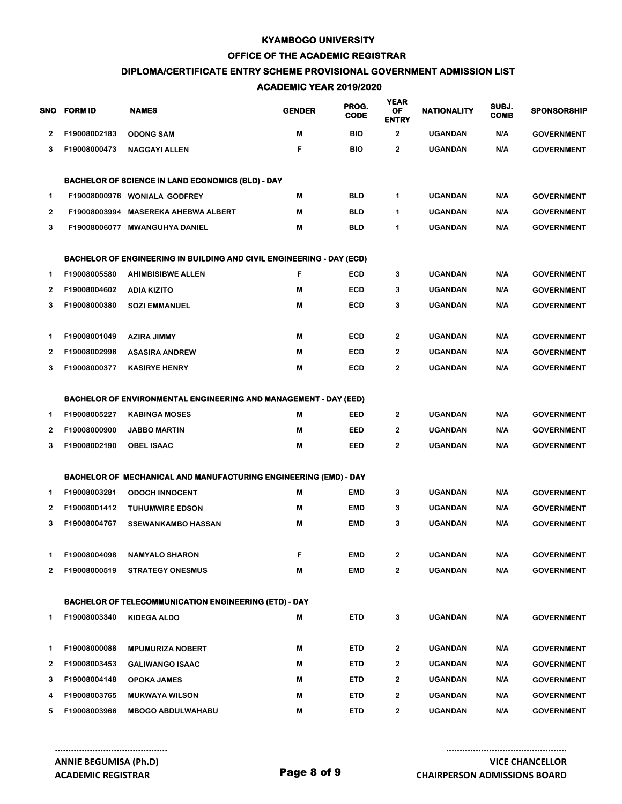### **OFFICE OF THE ACADEMIC REGISTRAR**

### **DIPLOMA/CERTIFICATE ENTRY SCHEME PROVISIONAL GOVERNMENT ADMISSION LIST**

# **ACADEMIC YEAR 2019/2020**

|    | SNO FORM ID    | <b>NAMES</b>                                                                 | <b>GENDER</b> | PROG.<br><b>CODE</b> | <b>YEAR</b><br><b>OF</b><br><b>ENTRY</b> | <b>NATIONALITY</b> | SUBJ.<br><b>COMB</b> | SPONSORSHIP       |
|----|----------------|------------------------------------------------------------------------------|---------------|----------------------|------------------------------------------|--------------------|----------------------|-------------------|
| 2  | F19008002183   | <b>ODONG SAM</b>                                                             | M             | <b>BIO</b>           | $\mathbf{2}$                             | <b>UGANDAN</b>     | N/A                  | <b>GOVERNMENT</b> |
| 3  | F19008000473   | <b>NAGGAYI ALLEN</b>                                                         | F             | <b>BIO</b>           | $\mathbf{2}$                             | <b>UGANDAN</b>     | N/A                  | <b>GOVERNMENT</b> |
|    |                | <b>BACHELOR OF SCIENCE IN LAND ECONOMICS (BLD) - DAY</b>                     |               |                      |                                          |                    |                      |                   |
| 1  |                | F19008000976 WONIALA GODFREY                                                 | M             | <b>BLD</b>           | 1                                        | <b>UGANDAN</b>     | N/A                  | <b>GOVERNMENT</b> |
| 2  |                | F19008003994 MASEREKA AHEBWA ALBERT                                          | M             | <b>BLD</b>           | 1                                        | <b>UGANDAN</b>     | N/A                  | <b>GOVERNMENT</b> |
| 3  |                | F19008006077 MWANGUHYA DANIEL                                                | M             | <b>BLD</b>           | 1                                        | <b>UGANDAN</b>     | N/A                  | <b>GOVERNMENT</b> |
|    |                | <b>BACHELOR OF ENGINEERING IN BUILDING AND CIVIL ENGINEERING - DAY (ECD)</b> |               |                      |                                          |                    |                      |                   |
| 1  | F19008005580   | <b>AHIMBISIBWE ALLEN</b>                                                     | F             | <b>ECD</b>           | 3                                        | <b>UGANDAN</b>     | N/A                  | <b>GOVERNMENT</b> |
| 2  | F19008004602   | <b>ADIA KIZITO</b>                                                           | M             | <b>ECD</b>           | 3                                        | <b>UGANDAN</b>     | N/A                  | <b>GOVERNMENT</b> |
| 3  | F19008000380   | <b>SOZI EMMANUEL</b>                                                         | M             | <b>ECD</b>           | 3                                        | <b>UGANDAN</b>     | N/A                  | <b>GOVERNMENT</b> |
| 1  | F19008001049   | <b>AZIRA JIMMY</b>                                                           | M             | <b>ECD</b>           | $\overline{2}$                           | <b>UGANDAN</b>     | N/A                  | <b>GOVERNMENT</b> |
| 2  | F19008002996   | <b>ASASIRA ANDREW</b>                                                        | M             | <b>ECD</b>           | $\mathbf{2}$                             | <b>UGANDAN</b>     | N/A                  | <b>GOVERNMENT</b> |
| 3  | F19008000377   | <b>KASIRYE HENRY</b>                                                         | M             | <b>ECD</b>           | $\mathbf{2}$                             | <b>UGANDAN</b>     | N/A                  | <b>GOVERNMENT</b> |
|    |                | <b>BACHELOR OF ENVIRONMENTAL ENGINEERING AND MANAGEMENT - DAY (EED)</b>      |               |                      |                                          |                    |                      |                   |
| 1  | F19008005227   | <b>KABINGA MOSES</b>                                                         | M             | EED                  | $\overline{2}$                           | <b>UGANDAN</b>     | N/A                  | <b>GOVERNMENT</b> |
| 2  | F19008000900   | <b>JABBO MARTIN</b>                                                          | M             | EED                  | $\overline{2}$                           | <b>UGANDAN</b>     | N/A                  | <b>GOVERNMENT</b> |
| 3  | F19008002190   | <b>OBEL ISAAC</b>                                                            | M             | EED                  | $\mathbf{2}$                             | <b>UGANDAN</b>     | N/A                  | <b>GOVERNMENT</b> |
|    |                | <b>BACHELOR OF MECHANICAL AND MANUFACTURING ENGINEERING (EMD) - DAY</b>      |               |                      |                                          |                    |                      |                   |
| 1. | F19008003281   | <b>ODOCH INNOCENT</b>                                                        | M             | <b>EMD</b>           | 3                                        | <b>UGANDAN</b>     | N/A                  | <b>GOVERNMENT</b> |
| 2  | F19008001412   | <b>TUHUMWIRE EDSON</b>                                                       | M             | EMD                  | 3                                        | <b>UGANDAN</b>     | N/A                  | <b>GOVERNMENT</b> |
| 3  | F19008004767   | <b>SSEWANKAMBO HASSAN</b>                                                    | M             | EMD                  | 3                                        | <b>UGANDAN</b>     | N/A                  | <b>GOVERNMENT</b> |
|    |                | F19008004098 NAMYALO SHARON                                                  |               | EMD                  | 2                                        | <b>UGANDAN</b>     | N/A                  | <b>GOVERNMENT</b> |
|    | 2 F19008000519 | <b>STRATEGY ONESMUS</b>                                                      | M             | <b>EMD</b>           | 2                                        | <b>UGANDAN</b>     | N/A                  | <b>GOVERNMENT</b> |
|    |                | <b>BACHELOR OF TELECOMMUNICATION ENGINEERING (ETD) - DAY</b>                 |               |                      |                                          |                    |                      |                   |
| 1  | F19008003340   | <b>KIDEGA ALDO</b>                                                           | M             | <b>ETD</b>           | 3                                        | <b>UGANDAN</b>     | N/A                  | <b>GOVERNMENT</b> |
| 1  | F19008000088   | <b>MPUMURIZA NOBERT</b>                                                      | M             | <b>ETD</b>           | 2                                        | <b>UGANDAN</b>     | N/A                  | <b>GOVERNMENT</b> |
| 2  | F19008003453   | <b>GALIWANGO ISAAC</b>                                                       | M             | <b>ETD</b>           | 2                                        | <b>UGANDAN</b>     | N/A                  | <b>GOVERNMENT</b> |
| 3  | F19008004148   | <b>OPOKA JAMES</b>                                                           | M             | <b>ETD</b>           | 2                                        | <b>UGANDAN</b>     | N/A                  | <b>GOVERNMENT</b> |
| 4  | F19008003765   | <b>MUKWAYA WILSON</b>                                                        | M             | <b>ETD</b>           | $\mathbf{2}$                             | <b>UGANDAN</b>     | N/A                  | <b>GOVERNMENT</b> |
|    | 5 F19008003966 | <b>MBOGO ABDULWAHABU</b>                                                     | M             | <b>ETD</b>           | $\mathbf{2}$                             | UGANDAN            | N/A                  | <b>GOVERNMENT</b> |
|    |                |                                                                              |               |                      |                                          |                    |                      |                   |